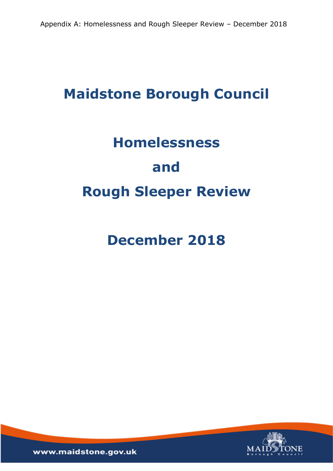# **Maidstone Borough Council**

# **Homelessness and Rough Sleeper Review**

**December 2018**

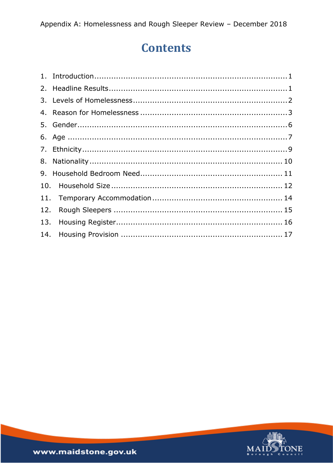# **Contents**

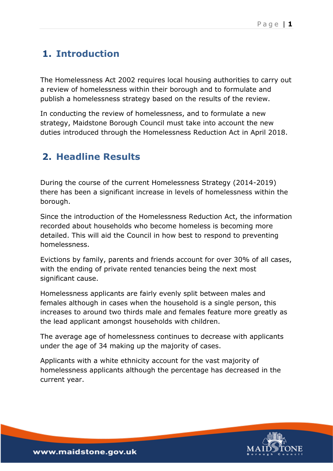## <span id="page-2-0"></span>**1. Introduction**

The Homelessness Act 2002 requires local housing authorities to carry out a review of homelessness within their borough and to formulate and publish a homelessness strategy based on the results of the review.

In conducting the review of homelessness, and to formulate a new strategy, Maidstone Borough Council must take into account the new duties introduced through the Homelessness Reduction Act in April 2018.

# <span id="page-2-1"></span>**2. Headline Results**

During the course of the current Homelessness Strategy (2014-2019) there has been a significant increase in levels of homelessness within the borough.

Since the introduction of the Homelessness Reduction Act, the information recorded about households who become homeless is becoming more detailed. This will aid the Council in how best to respond to preventing homelessness.

Evictions by family, parents and friends account for over 30% of all cases, with the ending of private rented tenancies being the next most significant cause.

Homelessness applicants are fairly evenly split between males and females although in cases when the household is a single person, this increases to around two thirds male and females feature more greatly as the lead applicant amongst households with children.

The average age of homelessness continues to decrease with applicants under the age of 34 making up the majority of cases.

Applicants with a white ethnicity account for the vast majority of homelessness applicants although the percentage has decreased in the current year.

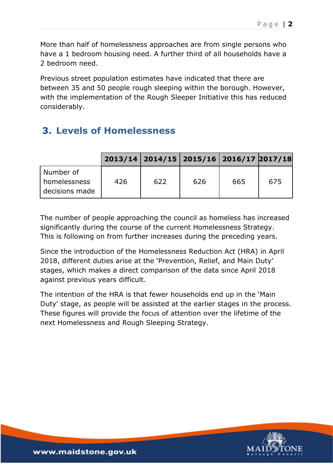More than half of homelessness approaches are from single persons who have a 1 bedroom housing need. A further third of all households have a 2 bedroom need.

Previous street population estimates have indicated that there are between 35 and 50 people rough sleeping within the borough. However, with the implementation of the Rough Sleeper Initiative this has reduced considerably.

### <span id="page-3-0"></span>**3. Levels of Homelessness**

|                                               |     | 2013/14 2014/15 2015/16 2016/17 2017/18 |     |     |     |
|-----------------------------------------------|-----|-----------------------------------------|-----|-----|-----|
| Number of<br>i homelessness<br>decisions made | 426 | 622                                     | 626 | 665 | 675 |

The number of people approaching the council as homeless has increased significantly during the course of the current Homelessness Strategy. This is following on from further increases during the preceding years.

Since the introduction of the Homelessness Reduction Act (HRA) in April 2018, different duties arise at the 'Prevention, Relief, and Main Duty' stages, which makes a direct comparison of the data since April 2018 against previous years difficult.

The intention of the HRA is that fewer households end up in the 'Main Duty' stage, as people will be assisted at the earlier stages in the process. These figures will provide the focus of attention over the lifetime of the next Homelessness and Rough Sleeping Strategy.

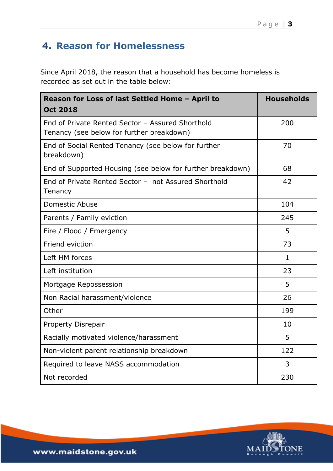# <span id="page-4-0"></span>**4. Reason for Homelessness**

Since April 2018, the reason that a household has become homeless is recorded as set out in the table below:

| Reason for Loss of last Settled Home - April to                                               | <b>Households</b> |
|-----------------------------------------------------------------------------------------------|-------------------|
| <b>Oct 2018</b>                                                                               |                   |
| End of Private Rented Sector - Assured Shorthold<br>Tenancy (see below for further breakdown) | 200               |
| End of Social Rented Tenancy (see below for further<br>breakdown)                             | 70                |
| End of Supported Housing (see below for further breakdown)                                    | 68                |
| End of Private Rented Sector - not Assured Shorthold<br>Tenancy                               | 42                |
| <b>Domestic Abuse</b>                                                                         | 104               |
| Parents / Family eviction                                                                     | 245               |
| Fire / Flood / Emergency                                                                      | 5                 |
| Friend eviction                                                                               | 73                |
| Left HM forces                                                                                | $\mathbf{1}$      |
| Left institution                                                                              | 23                |
| Mortgage Repossession                                                                         | 5                 |
| Non Racial harassment/violence                                                                | 26                |
| Other                                                                                         | 199               |
| Property Disrepair                                                                            | 10                |
| Racially motivated violence/harassment                                                        | 5                 |
| Non-violent parent relationship breakdown                                                     | 122               |
| Required to leave NASS accommodation                                                          | 3                 |
| Not recorded                                                                                  | 230               |

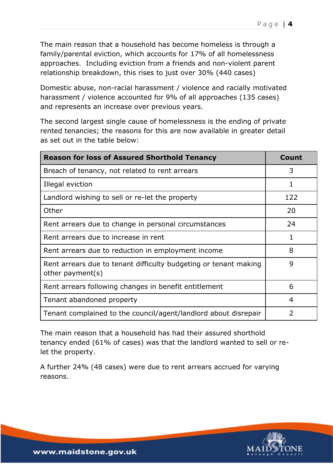The main reason that a household has become homeless is through a family/parental eviction, which accounts for 17% of all homelessness approaches. Including eviction from a friends and non-violent parent relationship breakdown, this rises to just over 30% (440 cases)

Domestic abuse, non-racial harassment / violence and racially motivated harassment / violence accounted for 9% of all approaches (135 cases) and represents an increase over previous years.

The second largest single cause of homelessness is the ending of private rented tenancies; the reasons for this are now available in greater detail as set out in the table below:

| <b>Reason for loss of Assured Shorthold Tenancy</b>                                  | Count          |
|--------------------------------------------------------------------------------------|----------------|
| Breach of tenancy, not related to rent arrears                                       | 3              |
| Illegal eviction                                                                     | 1              |
| Landlord wishing to sell or re-let the property                                      | 122            |
| Other                                                                                | 20             |
| Rent arrears due to change in personal circumstances                                 | 24             |
| Rent arrears due to increase in rent                                                 | 1              |
| Rent arrears due to reduction in employment income                                   | 8              |
| Rent arrears due to tenant difficulty budgeting or tenant making<br>other payment(s) | 9              |
| Rent arrears following changes in benefit entitlement                                | 6              |
| Tenant abandoned property                                                            | 4              |
| Tenant complained to the council/agent/landlord about disrepair                      | $\overline{2}$ |

The main reason that a household has had their assured shorthold tenancy ended (61% of cases) was that the landlord wanted to sell or relet the property.

A further 24% (48 cases) were due to rent arrears accrued for varying reasons.

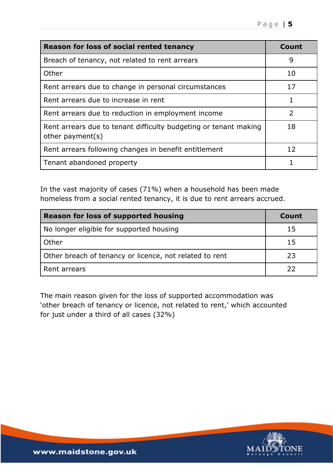| Reason for loss of social rented tenancy                                             | Count         |
|--------------------------------------------------------------------------------------|---------------|
| Breach of tenancy, not related to rent arrears                                       | 9             |
| Other                                                                                | 10            |
| Rent arrears due to change in personal circumstances                                 | 17            |
| Rent arrears due to increase in rent                                                 |               |
| Rent arrears due to reduction in employment income                                   | $\mathcal{P}$ |
| Rent arrears due to tenant difficulty budgeting or tenant making<br>other payment(s) | 18            |
| Rent arrears following changes in benefit entitlement                                | 12            |
| Tenant abandoned property                                                            |               |

In the vast majority of cases (71%) when a household has been made homeless from a social rented tenancy, it is due to rent arrears accrued.

| <b>Reason for loss of supported housing</b>             | Count |
|---------------------------------------------------------|-------|
| No longer eligible for supported housing                | 15    |
| Other                                                   | 15    |
| Other breach of tenancy or licence, not related to rent | 23    |
| Rent arrears                                            | フフ    |

The main reason given for the loss of supported accommodation was 'other breach of tenancy or licence, not related to rent,' which accounted for just under a third of all cases (32%)

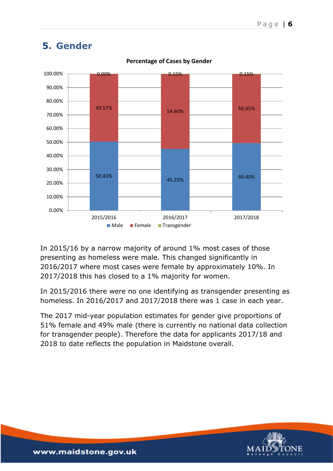

#### <span id="page-7-0"></span>**5. Gender**

**Percentage of Cases by Gender**

In 2015/16 by a narrow majority of around 1% most cases of those presenting as homeless were male. This changed significantly in 2016/2017 where most cases were female by approximately 10%. In 2017/2018 this has closed to a 1% majority for women.

In 2015/2016 there were no one identifying as transgender presenting as homeless. In 2016/2017 and 2017/2018 there was 1 case in each year.

The 2017 mid-year population estimates for gender give proportions of 51% female and 49% male (there is currently no national data collection for transgender people). Therefore the data for applicants 2017/18 and 2018 to date reflects the population in Maidstone overall.

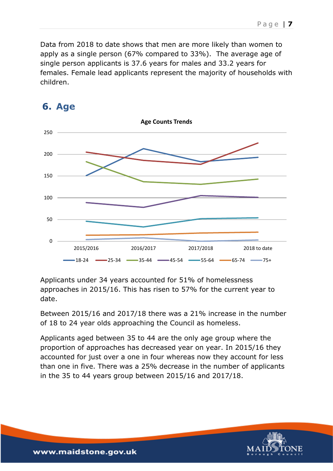Data from 2018 to date shows that men are more likely than women to apply as a single person (67% compared to 33%). The average age of single person applicants is 37.6 years for males and 33.2 years for females. Female lead applicants represent the majority of households with children.



#### <span id="page-8-0"></span>**6. Age**

Applicants under 34 years accounted for 51% of homelessness approaches in 2015/16. This has risen to 57% for the current year to date.

Between 2015/16 and 2017/18 there was a 21% increase in the number of 18 to 24 year olds approaching the Council as homeless.

Applicants aged between 35 to 44 are the only age group where the proportion of approaches has decreased year on year. In 2015/16 they accounted for just over a one in four whereas now they account for less than one in five. There was a 25% decrease in the number of applicants in the 35 to 44 years group between 2015/16 and 2017/18.



P a g e | **7**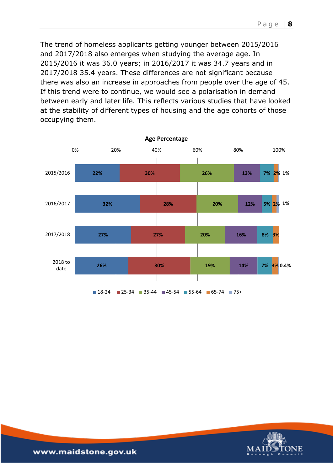The trend of homeless applicants getting younger between 2015/2016 and 2017/2018 also emerges when studying the average age. In 2015/2016 it was 36.0 years; in 2016/2017 it was 34.7 years and in 2017/2018 35.4 years. These differences are not significant because there was also an increase in approaches from people over the age of 45. If this trend were to continue, we would see a polarisation in demand between early and later life. This reflects various studies that have looked at the stability of different types of housing and the age cohorts of those occupying them.



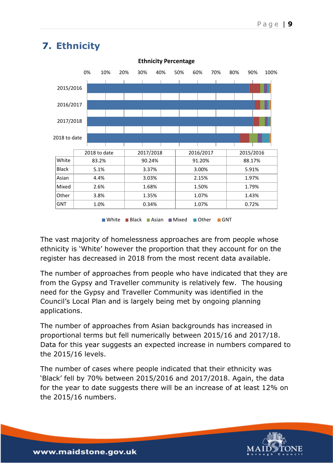

### <span id="page-10-0"></span>**7. Ethnicity**

White Black Asian Mixed Other GNT

The vast majority of homelessness approaches are from people whose ethnicity is 'White' however the proportion that they account for on the register has decreased in 2018 from the most recent data available.

The number of approaches from people who have indicated that they are from the Gypsy and Traveller community is relatively few. The housing need for the Gypsy and Traveller Community was identified in the Council's Local Plan and is largely being met by ongoing planning applications.

The number of approaches from Asian backgrounds has increased in proportional terms but fell numerically between 2015/16 and 2017/18. Data for this year suggests an expected increase in numbers compared to the 2015/16 levels.

The number of cases where people indicated that their ethnicity was 'Black' fell by 70% between 2015/2016 and 2017/2018. Again, the data for the year to date suggests there will be an increase of at least 12% on the 2015/16 numbers.

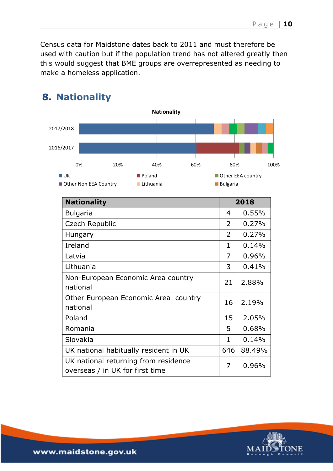Census data for Maidstone dates back to 2011 and must therefore be used with caution but if the population trend has not altered greatly then this would suggest that BME groups are overrepresented as needing to make a homeless application.

|                   |                       |                            | <b>Nationality</b> |     |                 |                   |
|-------------------|-----------------------|----------------------------|--------------------|-----|-----------------|-------------------|
| 2017/2018         |                       |                            |                    |     |                 |                   |
| 2016/2017         |                       |                            |                    |     |                 |                   |
|                   | 0%                    | 20%                        | 40%                | 60% | 80%             | 100%              |
| $\blacksquare$ UK | Other Non EEA Country | <b>Poland</b><br>Lithuania |                    |     | <b>Bulgaria</b> | Other EEA country |
|                   | <b>Nationality</b>    |                            |                    |     |                 | 2018              |
|                   |                       |                            |                    |     |                 |                   |
|                   | <b>Bulgaria</b>       |                            |                    |     | $\overline{4}$  | 0.55%             |
|                   | Czech Republic        |                            |                    |     | $\overline{2}$  | 0.27%             |
|                   | Hungary               |                            |                    |     | 2               | 0.27%             |
| Ireland           |                       |                            |                    |     | $\mathbf 1$     | 0.14%             |
| Latvia            |                       |                            |                    |     | 7               | 0.96%             |
|                   | Lithuania             |                            |                    |     | 3               | 0.41%             |

### <span id="page-11-0"></span>**8. Nationality**

| 1   | 0.14%  |
|-----|--------|
| 7   | 0.96%  |
| 3   | 0.41%  |
| 21  | 2.88%  |
| 16  | 2.19%  |
| 15  | 2.05%  |
| 5   | 0.68%  |
| 1   | 0.14%  |
| 646 | 88.49% |
| 7   | 0.96%  |
|     |        |

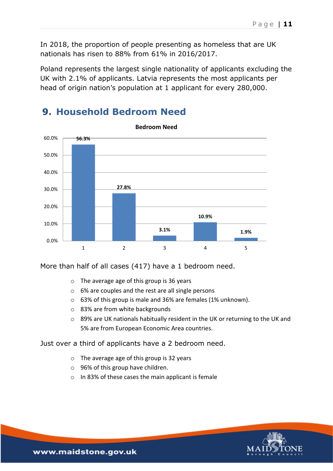In 2018, the proportion of people presenting as homeless that are UK nationals has risen to 88% from 61% in 2016/2017.

Poland represents the largest single nationality of applicants excluding the UK with 2.1% of applicants. Latvia represents the most applicants per head of origin nation's population at 1 applicant for every 280,000.



#### <span id="page-12-0"></span>**9. Household Bedroom Need**

More than half of all cases (417) have a 1 bedroom need.

- o The average age of this group is 36 years
- o 6% are couples and the rest are all single persons
- o 63% of this group is male and 36% are females (1% unknown).
- o 83% are from white backgrounds
- o 89% are UK nationals habitually resident in the UK or returning to the UK and 5% are from European Economic Area countries.

Just over a third of applicants have a 2 bedroom need.

- o The average age of this group is 32 years
- o 96% of this group have children.
- o In 83% of these cases the main applicant is female

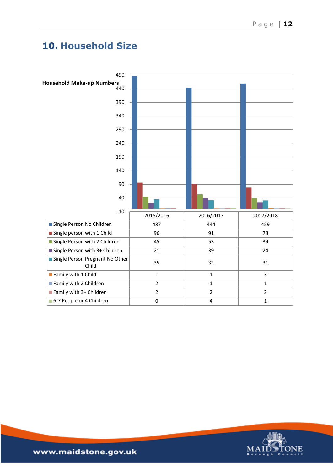#### <span id="page-13-0"></span>**10. Household Size**



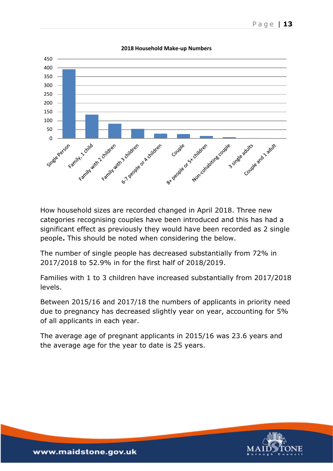

**2018 Household Make-up Numbers**

How household sizes are recorded changed in April 2018. Three new categories recognising couples have been introduced and this has had a significant effect as previously they would have been recorded as 2 single people**.** This should be noted when considering the below.

The number of single people has decreased substantially from 72% in 2017/2018 to 52.9% in for the first half of 2018/2019.

Families with 1 to 3 children have increased substantially from 2017/2018 levels.

Between 2015/16 and 2017/18 the numbers of applicants in priority need due to pregnancy has decreased slightly year on year, accounting for 5% of all applicants in each year.

The average age of pregnant applicants in 2015/16 was 23.6 years and the average age for the year to date is 25 years.

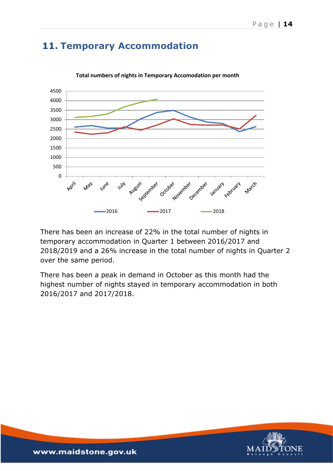### <span id="page-15-0"></span>**11. Temporary Accommodation**



**Total numbers of nights in Temporary Accomodation per month** 

There has been an increase of 22% in the total number of nights in temporary accommodation in Quarter 1 between 2016/2017 and 2018/2019 and a 26% increase in the total number of nights in Quarter 2 over the same period.

There has been a peak in demand in October as this month had the highest number of nights stayed in temporary accommodation in both 2016/2017 and 2017/2018.

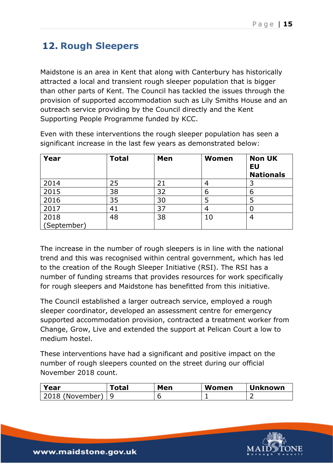# <span id="page-16-0"></span>**12. Rough Sleepers**

Maidstone is an area in Kent that along with Canterbury has historically attracted a local and transient rough sleeper population that is bigger than other parts of Kent. The Council has tackled the issues through the provision of supported accommodation such as Lily Smiths House and an outreach service providing by the Council directly and the Kent Supporting People Programme funded by KCC.

**Year** Total |Men |Women |Non UK **EU Nationals**  2014 25 21 4 3 2015 38 32 6 6 2016 | 35 | 30 | 5 | 5 2017 41 37 4 0 2018 (September) 48 38 10 4

Even with these interventions the rough sleeper population has seen a significant increase in the last few years as demonstrated below:

The increase in the number of rough sleepers is in line with the national trend and this was recognised within central government, which has led to the creation of the Rough Sleeper Initiative (RSI). The RSI has a number of funding streams that provides resources for work specifically for rough sleepers and Maidstone has benefitted from this initiative.

The Council established a larger outreach service, employed a rough sleeper coordinator, developed an assessment centre for emergency supported accommodation provision, contracted a treatment worker from Change, Grow, Live and extended the support at Pelican Court a low to medium hostel.

These interventions have had a significant and positive impact on the number of rough sleepers counted on the street during our official November 2018 count.

| Year            | <sup>T</sup> otal | Men | Women | <b>Unknown</b> |
|-----------------|-------------------|-----|-------|----------------|
| 2018 (November) |                   |     |       |                |

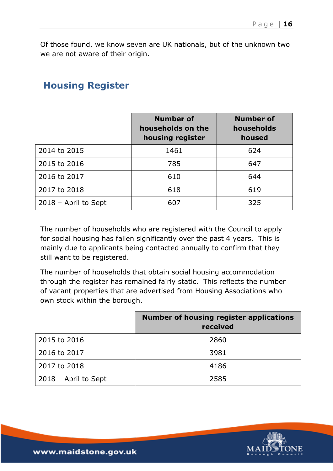Of those found, we know seven are UK nationals, but of the unknown two we are not aware of their origin.

#### <span id="page-17-0"></span>**Housing Register**

|                      | <b>Number of</b><br>households on the<br>housing register | <b>Number of</b><br>households<br>housed |
|----------------------|-----------------------------------------------------------|------------------------------------------|
| 2014 to 2015         | 1461                                                      | 624                                      |
| 2015 to 2016         | 785                                                       | 647                                      |
| 2016 to 2017         | 610                                                       | 644                                      |
| 2017 to 2018         | 618                                                       | 619                                      |
| 2018 - April to Sept | 607                                                       | 325                                      |

The number of households who are registered with the Council to apply for social housing has fallen significantly over the past 4 years. This is mainly due to applicants being contacted annually to confirm that they still want to be registered.

The number of households that obtain social housing accommodation through the register has remained fairly static. This reflects the number of vacant properties that are advertised from Housing Associations who own stock within the borough.

|                        | <b>Number of housing register applications</b><br>received |
|------------------------|------------------------------------------------------------|
| 2015 to 2016           | 2860                                                       |
| 2016 to 2017           | 3981                                                       |
| 2017 to 2018           | 4186                                                       |
| $2018$ – April to Sept | 2585                                                       |